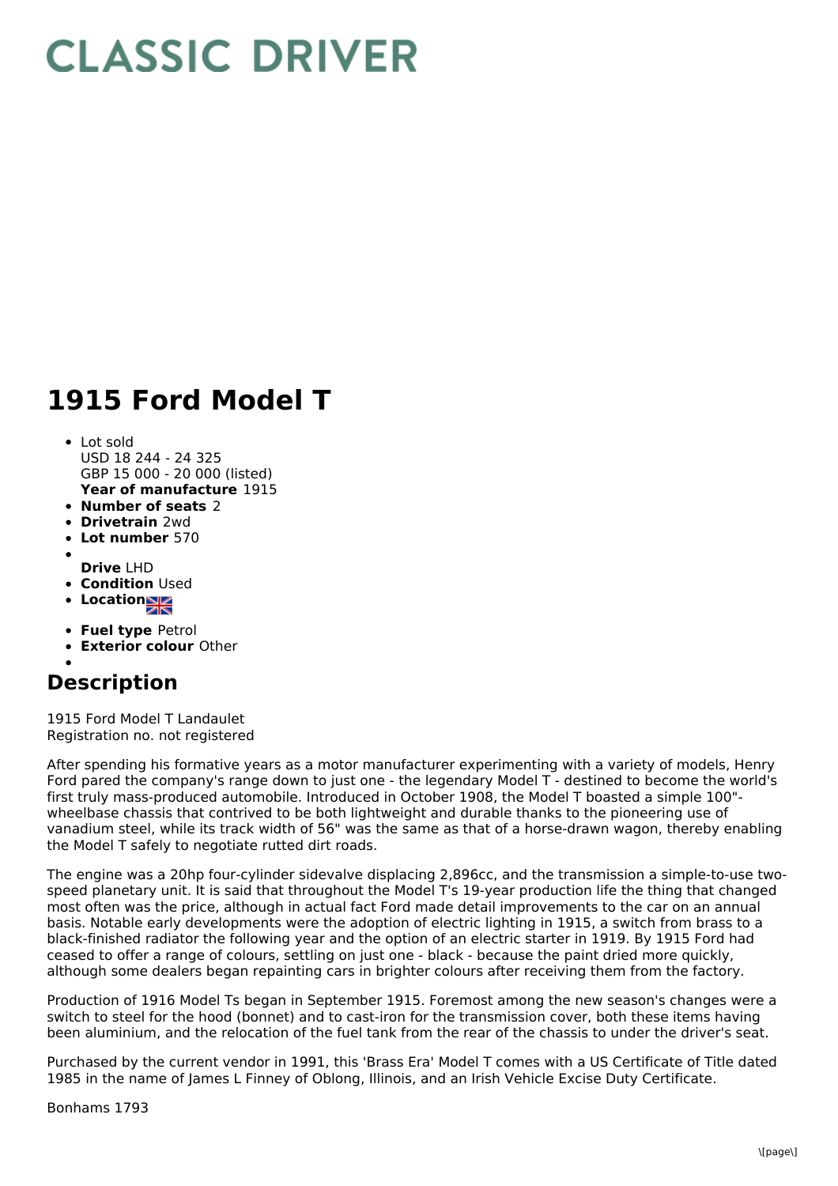## **CLASSIC DRIVER**

## **1915 Ford Model T**

- Lot sold USD 18 244 - 24 325 GBP 15 000 - 20 000 (listed)
- **Year of manufacture** 1915
- **Number of seats** 2
- **Drivetrain** 2wd
- **Lot number** 570
- 
- **Drive** LHD **• Condition Used**
- **Location**
- **Fuel type** Petrol
- **Exterior colour** Other

## **Description**

1915 Ford Model T Landaulet Registration no. not registered

After spending his formative years as a motor manufacturer experimenting with a variety of models, Henry Ford pared the company's range down to just one - the legendary Model T - destined to become the world's first truly mass-produced automobile. Introduced in October 1908, the Model T boasted a simple 100" wheelbase chassis that contrived to be both lightweight and durable thanks to the pioneering use of vanadium steel, while its track width of 56" was the same as that of a horse-drawn wagon, thereby enabling the Model T safely to negotiate rutted dirt roads.

The engine was a 20hp four-cylinder sidevalve displacing 2,896cc, and the transmission a simple-to-use twospeed planetary unit. It is said that throughout the Model T's 19-year production life the thing that changed most often was the price, although in actual fact Ford made detail improvements to the car on an annual basis. Notable early developments were the adoption of electric lighting in 1915, a switch from brass to a black-finished radiator the following year and the option of an electric starter in 1919. By 1915 Ford had ceased to offer a range of colours, settling on just one - black - because the paint dried more quickly, although some dealers began repainting cars in brighter colours after receiving them from the factory.

Production of 1916 Model Ts began in September 1915. Foremost among the new season's changes were a switch to steel for the hood (bonnet) and to cast-iron for the transmission cover, both these items having been aluminium, and the relocation of the fuel tank from the rear of the chassis to under the driver's seat.

Purchased by the current vendor in 1991, this 'Brass Era' Model T comes with a US Certificate of Title dated 1985 in the name of James L Finney of Oblong, Illinois, and an Irish Vehicle Excise Duty Certificate.